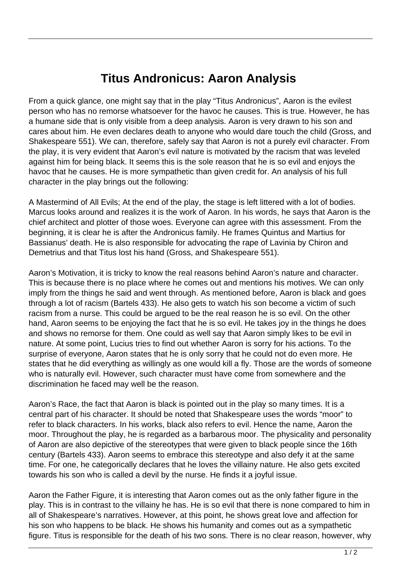## **Titus Andronicus: Aaron Analysis**

From a quick glance, one might say that in the play "Titus Andronicus", Aaron is the evilest person who has no remorse whatsoever for the havoc he causes. This is true. However, he has a humane side that is only visible from a deep analysis. Aaron is very drawn to his son and cares about him. He even declares death to anyone who would dare touch the child (Gross, and Shakespeare 551). We can, therefore, safely say that Aaron is not a purely evil character. From the play, it is very evident that Aaron's evil nature is motivated by the racism that was leveled against him for being black. It seems this is the sole reason that he is so evil and enjoys the havoc that he causes. He is more sympathetic than given credit for. An analysis of his full character in the play brings out the following:

A Mastermind of All Evils; At the end of the play, the stage is left littered with a lot of bodies. Marcus looks around and realizes it is the work of Aaron. In his words, he says that Aaron is the chief architect and plotter of those woes. Everyone can agree with this assessment. From the beginning, it is clear he is after the Andronicus family. He frames Quintus and Martius for Bassianus' death. He is also responsible for advocating the rape of Lavinia by Chiron and Demetrius and that Titus lost his hand (Gross, and Shakespeare 551).

Aaron's Motivation, it is tricky to know the real reasons behind Aaron's nature and character. This is because there is no place where he comes out and mentions his motives. We can only imply from the things he said and went through. As mentioned before, Aaron is black and goes through a lot of racism (Bartels 433). He also gets to watch his son become a victim of such racism from a nurse. This could be argued to be the real reason he is so evil. On the other hand, Aaron seems to be enjoying the fact that he is so evil. He takes joy in the things he does and shows no remorse for them. One could as well say that Aaron simply likes to be evil in nature. At some point, Lucius tries to find out whether Aaron is sorry for his actions. To the surprise of everyone, Aaron states that he is only sorry that he could not do even more. He states that he did everything as willingly as one would kill a fly. Those are the words of someone who is naturally evil. However, such character must have come from somewhere and the discrimination he faced may well be the reason.

Aaron's Race, the fact that Aaron is black is pointed out in the play so many times. It is a central part of his character. It should be noted that Shakespeare uses the words "moor" to refer to black characters. In his works, black also refers to evil. Hence the name, Aaron the moor. Throughout the play, he is regarded as a barbarous moor. The physicality and personality of Aaron are also depictive of the stereotypes that were given to black people since the 16th century (Bartels 433). Aaron seems to embrace this stereotype and also defy it at the same time. For one, he categorically declares that he loves the villainy nature. He also gets excited towards his son who is called a devil by the nurse. He finds it a joyful issue.

Aaron the Father Figure, it is interesting that Aaron comes out as the only father figure in the play. This is in contrast to the villainy he has. He is so evil that there is none compared to him in all of Shakespeare's narratives. However, at this point, he shows great love and affection for his son who happens to be black. He shows his humanity and comes out as a sympathetic figure. Titus is responsible for the death of his two sons. There is no clear reason, however, why